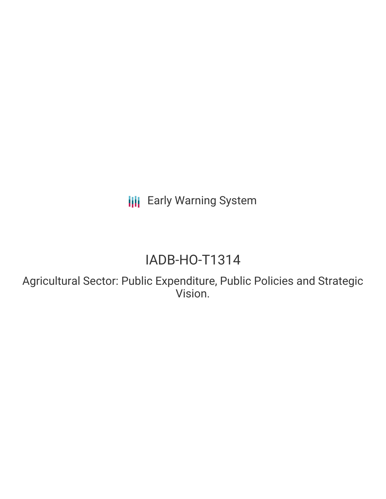**III** Early Warning System

# IADB-HO-T1314

Agricultural Sector: Public Expenditure, Public Policies and Strategic Vision.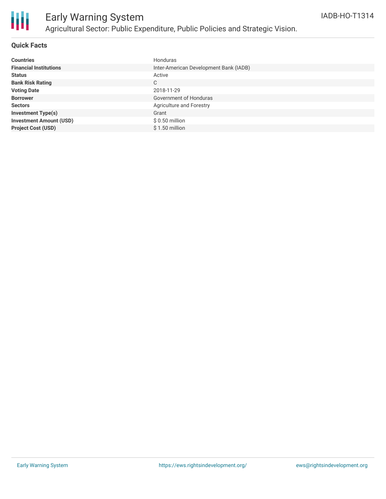

# Early Warning System Agricultural Sector: Public Expenditure, Public Policies and Strategic Vision.

#### **Quick Facts**

| <b>Countries</b>               | Honduras                               |
|--------------------------------|----------------------------------------|
| <b>Financial Institutions</b>  | Inter-American Development Bank (IADB) |
| <b>Status</b>                  | Active                                 |
| <b>Bank Risk Rating</b>        | C                                      |
| <b>Voting Date</b>             | 2018-11-29                             |
| <b>Borrower</b>                | Government of Honduras                 |
| <b>Sectors</b>                 | <b>Agriculture and Forestry</b>        |
| <b>Investment Type(s)</b>      | Grant                                  |
| <b>Investment Amount (USD)</b> | $$0.50$ million                        |
| <b>Project Cost (USD)</b>      | $$1.50$ million                        |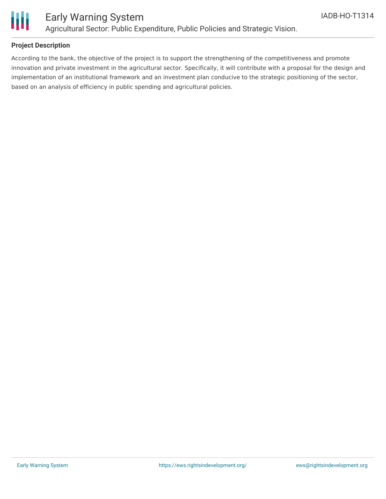

### Early Warning System Agricultural Sector: Public Expenditure, Public Policies and Strategic Vision.

#### **Project Description**

According to the bank, the objective of the project is to support the strengthening of the competitiveness and promote innovation and private investment in the agricultural sector. Specifically, it will contribute with a proposal for the design and implementation of an institutional framework and an investment plan conducive to the strategic positioning of the sector, based on an analysis of efficiency in public spending and agricultural policies.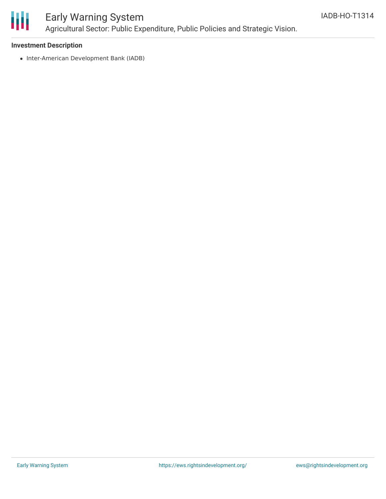

### Early Warning System Agricultural Sector: Public Expenditure, Public Policies and Strategic Vision.

#### **Investment Description**

• Inter-American Development Bank (IADB)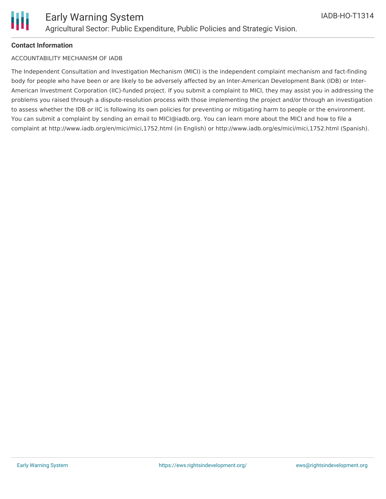

#### **Contact Information**

#### ACCOUNTABILITY MECHANISM OF IADB

The Independent Consultation and Investigation Mechanism (MICI) is the independent complaint mechanism and fact-finding body for people who have been or are likely to be adversely affected by an Inter-American Development Bank (IDB) or Inter-American Investment Corporation (IIC)-funded project. If you submit a complaint to MICI, they may assist you in addressing the problems you raised through a dispute-resolution process with those implementing the project and/or through an investigation to assess whether the IDB or IIC is following its own policies for preventing or mitigating harm to people or the environment. You can submit a complaint by sending an email to MICI@iadb.org. You can learn more about the MICI and how to file a complaint at http://www.iadb.org/en/mici/mici,1752.html (in English) or http://www.iadb.org/es/mici/mici,1752.html (Spanish).